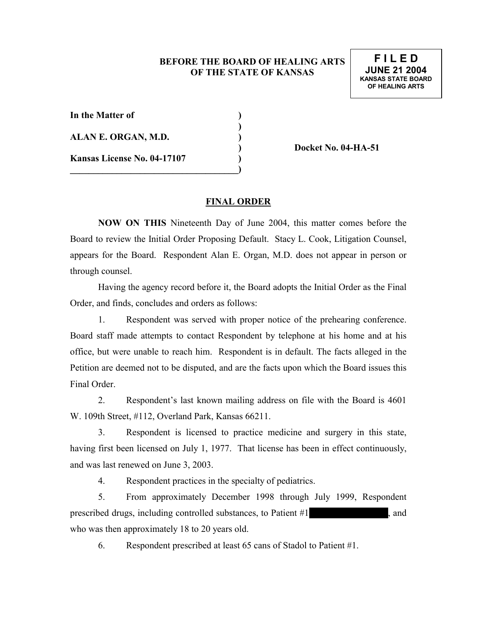## **BEFORE THE BOARD OF HEALING ARTS OF THE STATE OF KANSAS**

| In the Matter of            |  |
|-----------------------------|--|
| ALAN E. ORGAN, M.D.         |  |
| Kansas License No. 04-17107 |  |
|                             |  |

**) Docket No. 04-HA-51** 

## **FINAL ORDER**

**NOW ON THIS** Nineteenth Day of June 2004, this matter comes before the Board to review the Initial Order Proposing Default. Stacy L. Cook, Litigation Counsel, appears for the Board. Respondent Alan E. Organ, M.D. does not appear in person or through counsel.

 Having the agency record before it, the Board adopts the Initial Order as the Final Order, and finds, concludes and orders as follows:

 1. Respondent was served with proper notice of the prehearing conference. Board staff made attempts to contact Respondent by telephone at his home and at his office, but were unable to reach him. Respondent is in default. The facts alleged in the Petition are deemed not to be disputed, and are the facts upon which the Board issues this Final Order.

 2. Respondent's last known mailing address on file with the Board is 4601 W. 109th Street, #112, Overland Park, Kansas 66211.

 3. Respondent is licensed to practice medicine and surgery in this state, having first been licensed on July 1, 1977. That license has been in effect continuously, and was last renewed on June 3, 2003.

4. Respondent practices in the specialty of pediatrics.

 5. From approximately December 1998 through July 1999, Respondent prescribed drugs, including controlled substances, to Patient #1, where it has his and who was then approximately 18 to 20 years old.

6. Respondent prescribed at least 65 cans of Stadol to Patient #1.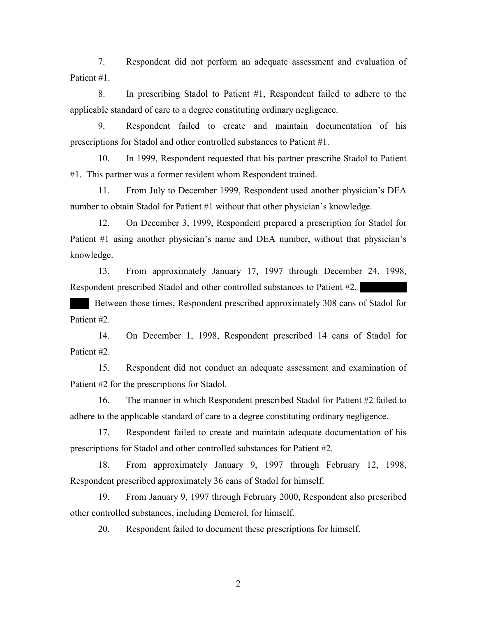7. Respondent did not perform an adequate assessment and evaluation of Patient #1.

 8. In prescribing Stadol to Patient #1, Respondent failed to adhere to the applicable standard of care to a degree constituting ordinary negligence.

 9. Respondent failed to create and maintain documentation of his prescriptions for Stadol and other controlled substances to Patient #1.

 10. In 1999, Respondent requested that his partner prescribe Stadol to Patient #1. This partner was a former resident whom Respondent trained.

 11. From July to December 1999, Respondent used another physician's DEA number to obtain Stadol for Patient #1 without that other physician's knowledge.

 12. On December 3, 1999, Respondent prepared a prescription for Stadol for Patient #1 using another physician's name and DEA number, without that physician's knowledge.

 13. From approximately January 17, 1997 through December 24, 1998, Respondent prescribed Stadol and other controlled substances to Patient  $#2$ ,

Between those times, Respondent prescribed approximately 308 cans of Stadol for Patient #2.

 14. On December 1, 1998, Respondent prescribed 14 cans of Stadol for Patient #2.

 15. Respondent did not conduct an adequate assessment and examination of Patient #2 for the prescriptions for Stadol.

 16. The manner in which Respondent prescribed Stadol for Patient #2 failed to adhere to the applicable standard of care to a degree constituting ordinary negligence.

 17. Respondent failed to create and maintain adequate documentation of his prescriptions for Stadol and other controlled substances for Patient #2.

 18. From approximately January 9, 1997 through February 12, 1998, Respondent prescribed approximately 36 cans of Stadol for himself.

 19. From January 9, 1997 through February 2000, Respondent also prescribed other controlled substances, including Demerol, for himself.

20. Respondent failed to document these prescriptions for himself.

2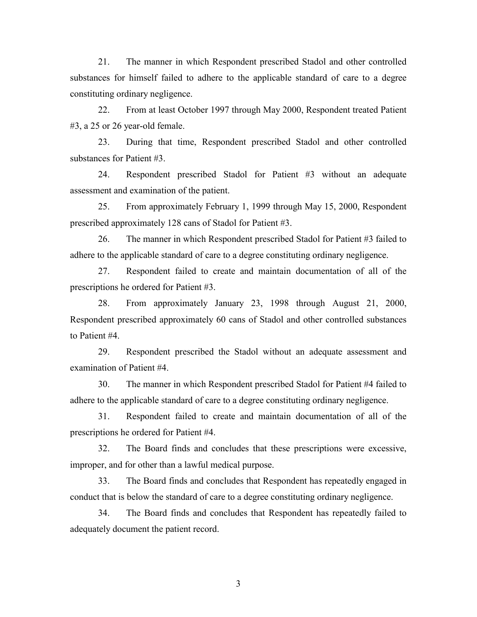21. The manner in which Respondent prescribed Stadol and other controlled substances for himself failed to adhere to the applicable standard of care to a degree constituting ordinary negligence.

 22. From at least October 1997 through May 2000, Respondent treated Patient #3, a 25 or 26 year-old female.

 23. During that time, Respondent prescribed Stadol and other controlled substances for Patient #3.

 24. Respondent prescribed Stadol for Patient #3 without an adequate assessment and examination of the patient.

 25. From approximately February 1, 1999 through May 15, 2000, Respondent prescribed approximately 128 cans of Stadol for Patient #3.

 26. The manner in which Respondent prescribed Stadol for Patient #3 failed to adhere to the applicable standard of care to a degree constituting ordinary negligence.

 27. Respondent failed to create and maintain documentation of all of the prescriptions he ordered for Patient #3.

 28. From approximately January 23, 1998 through August 21, 2000, Respondent prescribed approximately 60 cans of Stadol and other controlled substances to Patient #4.

 29. Respondent prescribed the Stadol without an adequate assessment and examination of Patient #4.

 30. The manner in which Respondent prescribed Stadol for Patient #4 failed to adhere to the applicable standard of care to a degree constituting ordinary negligence.

 31. Respondent failed to create and maintain documentation of all of the prescriptions he ordered for Patient #4.

 32. The Board finds and concludes that these prescriptions were excessive, improper, and for other than a lawful medical purpose.

 33. The Board finds and concludes that Respondent has repeatedly engaged in conduct that is below the standard of care to a degree constituting ordinary negligence.

 34. The Board finds and concludes that Respondent has repeatedly failed to adequately document the patient record.

3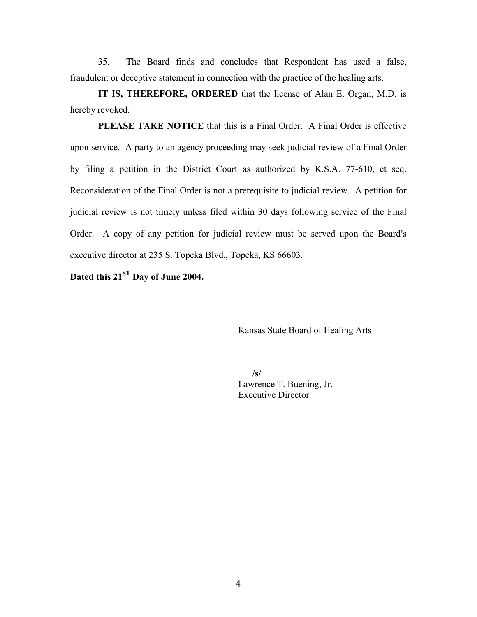35. The Board finds and concludes that Respondent has used a false, fraudulent or deceptive statement in connection with the practice of the healing arts.

**IT IS, THEREFORE, ORDERED** that the license of Alan E. Organ, M.D. is hereby revoked.

**PLEASE TAKE NOTICE** that this is a Final Order. A Final Order is effective upon service. A party to an agency proceeding may seek judicial review of a Final Order by filing a petition in the District Court as authorized by K.S.A. 77-610, et seq. Reconsideration of the Final Order is not a prerequisite to judicial review. A petition for judicial review is not timely unless filed within 30 days following service of the Final Order. A copy of any petition for judicial review must be served upon the Board's executive director at 235 S. Topeka Blvd., Topeka, KS 66603.

Dated this 21<sup>ST</sup> Day of June 2004.

Kansas State Board of Healing Arts

 $\frac{|s|}{s}$ 

Lawrence T. Buening, Jr. Executive Director